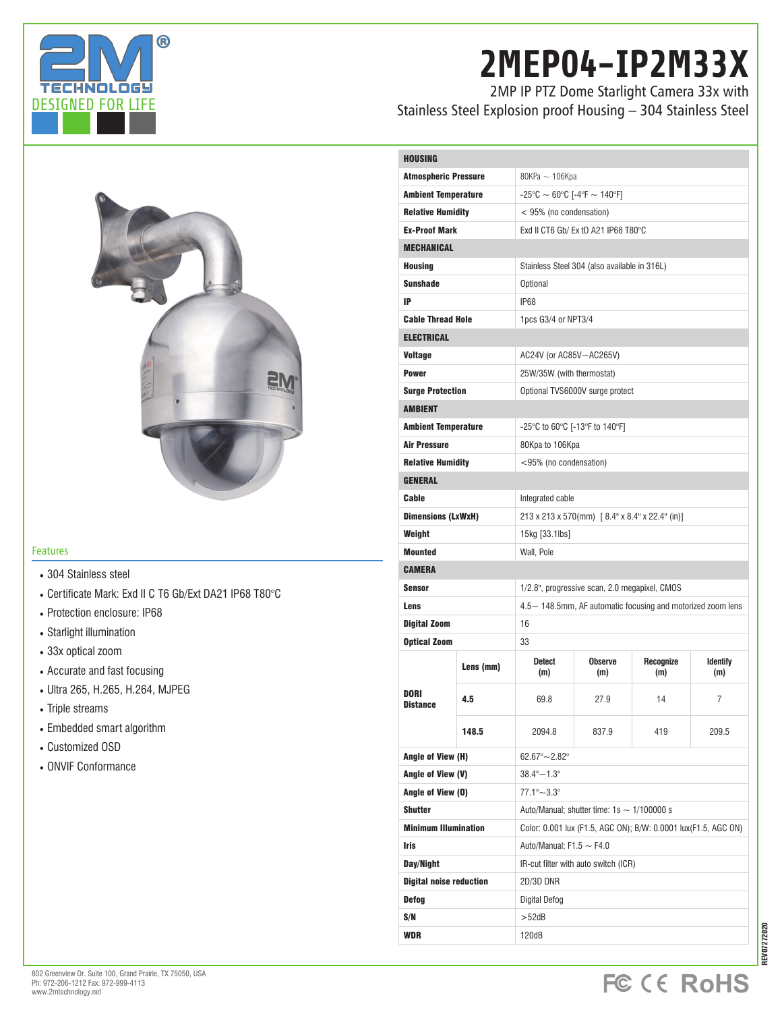

# **2MEP04-IP2M33X**

2MP IP PTZ Dome Starlight Camera 33x with Stainless Steel Explosion proof Housing – 304 Stainless Steel



### Features

### • 304 Stainless steel

- Certificate Mark: Exd II C T6 Gb/Ext DA21 IP68 T80°C
- Protection enclosure: IP68
- Starlight illumination
- 33x optical zoom
- Accurate and fast focusing
- Ultra 265, H.265, H.264, MJPEG
- Triple streams
- Embedded smart algorithm
- Customized OSD
- ONVIF Conformance

| <b>Atmospheric Pressure</b><br>80KPa ~ 106Kpa<br>$-25^{\circ}$ C $\sim 60^{\circ}$ C [-4°F $\sim 140^{\circ}$ F]<br><b>Ambient Temperature</b><br><b>Relative Humidity</b><br>< 95% (no condensation)<br><b>Ex-Proof Mark</b><br>Exd II CT6 Gb/ Ex tD A21 IP68 T80°C<br><b>MECHANICAL</b><br><b>Housing</b><br>Stainless Steel 304 (also available in 316L)<br><b>Sunshade</b><br>Optional<br>IP<br>IP68<br><b>Cable Thread Hole</b><br>1pcs G3/4 or NPT3/4<br><b>ELECTRICAL</b><br>Voltage<br>AC24V (or AC85V~AC265V)<br><b>Power</b><br>25W/35W (with thermostat)<br><b>Surge Protection</b><br>Optional TVS6000V surge protect<br><b>AMBIENT</b><br><b>Ambient Temperature</b><br>-25°C to 60°C [-13°F to 140°F]<br><b>Air Pressure</b><br>80Kpa to 106Kpa<br><b>Relative Humidity</b><br><95% (no condensation)<br><b>GENERAL</b><br>Cable<br>Integrated cable<br>213 x 213 x 570(mm) [8.4" x 8.4" x 22.4" (in)]<br><b>Dimensions (LxWxH)</b><br>Weight<br>15kg [33.1lbs]<br><b>Mounted</b><br>Wall, Pole<br><b>CAMERA</b><br><b>Sensor</b><br>1/2.8", progressive scan, 2.0 megapixel, CMOS |
|--------------------------------------------------------------------------------------------------------------------------------------------------------------------------------------------------------------------------------------------------------------------------------------------------------------------------------------------------------------------------------------------------------------------------------------------------------------------------------------------------------------------------------------------------------------------------------------------------------------------------------------------------------------------------------------------------------------------------------------------------------------------------------------------------------------------------------------------------------------------------------------------------------------------------------------------------------------------------------------------------------------------------------------------------------------------------------------------------|
|                                                                                                                                                                                                                                                                                                                                                                                                                                                                                                                                                                                                                                                                                                                                                                                                                                                                                                                                                                                                                                                                                                  |
|                                                                                                                                                                                                                                                                                                                                                                                                                                                                                                                                                                                                                                                                                                                                                                                                                                                                                                                                                                                                                                                                                                  |
|                                                                                                                                                                                                                                                                                                                                                                                                                                                                                                                                                                                                                                                                                                                                                                                                                                                                                                                                                                                                                                                                                                  |
|                                                                                                                                                                                                                                                                                                                                                                                                                                                                                                                                                                                                                                                                                                                                                                                                                                                                                                                                                                                                                                                                                                  |
|                                                                                                                                                                                                                                                                                                                                                                                                                                                                                                                                                                                                                                                                                                                                                                                                                                                                                                                                                                                                                                                                                                  |
|                                                                                                                                                                                                                                                                                                                                                                                                                                                                                                                                                                                                                                                                                                                                                                                                                                                                                                                                                                                                                                                                                                  |
|                                                                                                                                                                                                                                                                                                                                                                                                                                                                                                                                                                                                                                                                                                                                                                                                                                                                                                                                                                                                                                                                                                  |
|                                                                                                                                                                                                                                                                                                                                                                                                                                                                                                                                                                                                                                                                                                                                                                                                                                                                                                                                                                                                                                                                                                  |
|                                                                                                                                                                                                                                                                                                                                                                                                                                                                                                                                                                                                                                                                                                                                                                                                                                                                                                                                                                                                                                                                                                  |
|                                                                                                                                                                                                                                                                                                                                                                                                                                                                                                                                                                                                                                                                                                                                                                                                                                                                                                                                                                                                                                                                                                  |
|                                                                                                                                                                                                                                                                                                                                                                                                                                                                                                                                                                                                                                                                                                                                                                                                                                                                                                                                                                                                                                                                                                  |
|                                                                                                                                                                                                                                                                                                                                                                                                                                                                                                                                                                                                                                                                                                                                                                                                                                                                                                                                                                                                                                                                                                  |
|                                                                                                                                                                                                                                                                                                                                                                                                                                                                                                                                                                                                                                                                                                                                                                                                                                                                                                                                                                                                                                                                                                  |
|                                                                                                                                                                                                                                                                                                                                                                                                                                                                                                                                                                                                                                                                                                                                                                                                                                                                                                                                                                                                                                                                                                  |
|                                                                                                                                                                                                                                                                                                                                                                                                                                                                                                                                                                                                                                                                                                                                                                                                                                                                                                                                                                                                                                                                                                  |
|                                                                                                                                                                                                                                                                                                                                                                                                                                                                                                                                                                                                                                                                                                                                                                                                                                                                                                                                                                                                                                                                                                  |
|                                                                                                                                                                                                                                                                                                                                                                                                                                                                                                                                                                                                                                                                                                                                                                                                                                                                                                                                                                                                                                                                                                  |
|                                                                                                                                                                                                                                                                                                                                                                                                                                                                                                                                                                                                                                                                                                                                                                                                                                                                                                                                                                                                                                                                                                  |
|                                                                                                                                                                                                                                                                                                                                                                                                                                                                                                                                                                                                                                                                                                                                                                                                                                                                                                                                                                                                                                                                                                  |
|                                                                                                                                                                                                                                                                                                                                                                                                                                                                                                                                                                                                                                                                                                                                                                                                                                                                                                                                                                                                                                                                                                  |
|                                                                                                                                                                                                                                                                                                                                                                                                                                                                                                                                                                                                                                                                                                                                                                                                                                                                                                                                                                                                                                                                                                  |
|                                                                                                                                                                                                                                                                                                                                                                                                                                                                                                                                                                                                                                                                                                                                                                                                                                                                                                                                                                                                                                                                                                  |
|                                                                                                                                                                                                                                                                                                                                                                                                                                                                                                                                                                                                                                                                                                                                                                                                                                                                                                                                                                                                                                                                                                  |
|                                                                                                                                                                                                                                                                                                                                                                                                                                                                                                                                                                                                                                                                                                                                                                                                                                                                                                                                                                                                                                                                                                  |
| $4.5\sim$ 148.5mm, AF automatic focusing and motorized zoom lens<br>Lens                                                                                                                                                                                                                                                                                                                                                                                                                                                                                                                                                                                                                                                                                                                                                                                                                                                                                                                                                                                                                         |
| Digital Zoom<br>16                                                                                                                                                                                                                                                                                                                                                                                                                                                                                                                                                                                                                                                                                                                                                                                                                                                                                                                                                                                                                                                                               |
| <b>Optical Zoom</b><br>33                                                                                                                                                                                                                                                                                                                                                                                                                                                                                                                                                                                                                                                                                                                                                                                                                                                                                                                                                                                                                                                                        |
| <b>Detect</b><br><b>Observe</b><br>Recognize<br><b>Identify</b><br>Lens (mm)<br>(m)<br>(m)<br>(m)<br>(m)                                                                                                                                                                                                                                                                                                                                                                                                                                                                                                                                                                                                                                                                                                                                                                                                                                                                                                                                                                                         |
| <b>DORI</b><br>4.5<br>69.8<br>27.9<br>14<br>7<br><b>Distance</b>                                                                                                                                                                                                                                                                                                                                                                                                                                                                                                                                                                                                                                                                                                                                                                                                                                                                                                                                                                                                                                 |
| 209.5<br>148.5<br>2094.8<br>837.9<br>419                                                                                                                                                                                                                                                                                                                                                                                                                                                                                                                                                                                                                                                                                                                                                                                                                                                                                                                                                                                                                                                         |
| Angle of View (H)<br>$62.67^{\circ} - 2.82^{\circ}$                                                                                                                                                                                                                                                                                                                                                                                                                                                                                                                                                                                                                                                                                                                                                                                                                                                                                                                                                                                                                                              |
| Angle of View (V)<br>$38.4^{\circ} - 1.3^{\circ}$                                                                                                                                                                                                                                                                                                                                                                                                                                                                                                                                                                                                                                                                                                                                                                                                                                                                                                                                                                                                                                                |
| $77.1^{\circ} - 3.3^{\circ}$<br>Angle of View (0)                                                                                                                                                                                                                                                                                                                                                                                                                                                                                                                                                                                                                                                                                                                                                                                                                                                                                                                                                                                                                                                |
| <b>Shutter</b><br>Auto/Manual; shutter time: $1s \sim 1/100000 s$                                                                                                                                                                                                                                                                                                                                                                                                                                                                                                                                                                                                                                                                                                                                                                                                                                                                                                                                                                                                                                |
| <b>Minimum Illumination</b><br>Color: 0.001 lux (F1.5, AGC ON); B/W: 0.0001 lux(F1.5, AGC ON)                                                                                                                                                                                                                                                                                                                                                                                                                                                                                                                                                                                                                                                                                                                                                                                                                                                                                                                                                                                                    |
| <b>Iris</b><br>Auto/Manual; $F1.5 \sim F4.0$                                                                                                                                                                                                                                                                                                                                                                                                                                                                                                                                                                                                                                                                                                                                                                                                                                                                                                                                                                                                                                                     |
| Day/Night<br>IR-cut filter with auto switch (ICR)                                                                                                                                                                                                                                                                                                                                                                                                                                                                                                                                                                                                                                                                                                                                                                                                                                                                                                                                                                                                                                                |
|                                                                                                                                                                                                                                                                                                                                                                                                                                                                                                                                                                                                                                                                                                                                                                                                                                                                                                                                                                                                                                                                                                  |
| <b>Digital noise reduction</b><br>2D/3D DNR                                                                                                                                                                                                                                                                                                                                                                                                                                                                                                                                                                                                                                                                                                                                                                                                                                                                                                                                                                                                                                                      |
| Defog<br>Digital Defog                                                                                                                                                                                                                                                                                                                                                                                                                                                                                                                                                                                                                                                                                                                                                                                                                                                                                                                                                                                                                                                                           |
| S/N<br>$>52$ d $B$                                                                                                                                                                                                                                                                                                                                                                                                                                                                                                                                                                                                                                                                                                                                                                                                                                                                                                                                                                                                                                                                               |



**REV07272020**

**IEV07272020**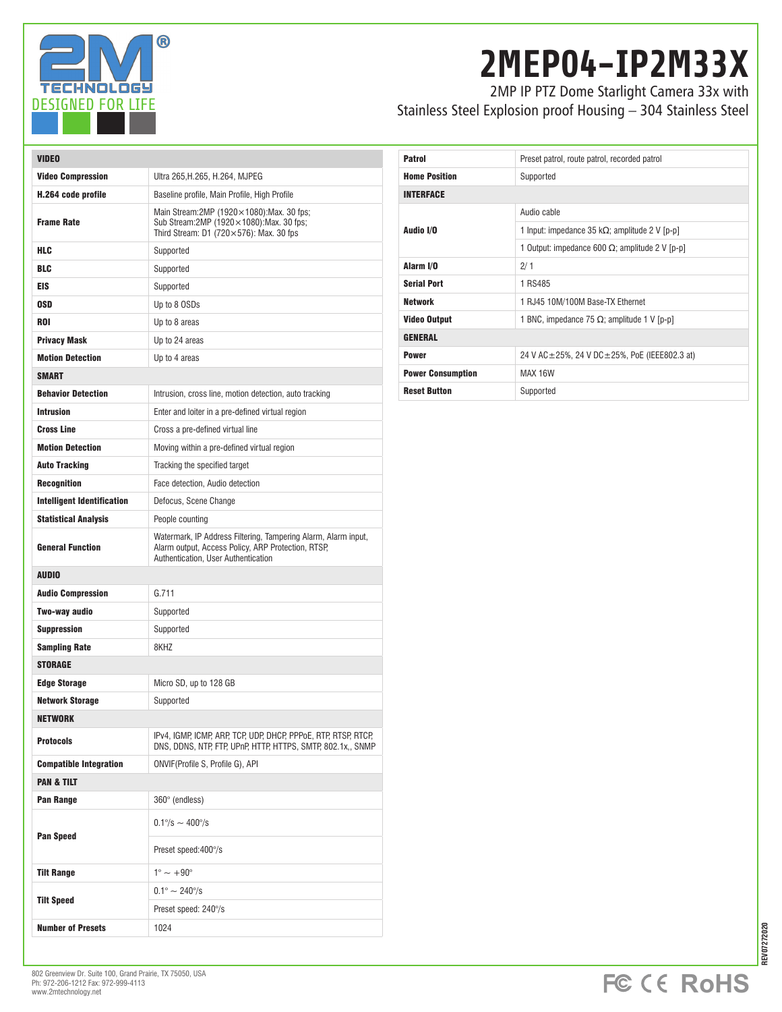

## **2MEP04-IP2M33X**

2MP IP PTZ Dome Starlight Camera 33x with Stainless Steel Explosion proof Housing – 304 Stainless Steel

| <b>VIDEO</b>                      |                                                                                                                                                             |  |
|-----------------------------------|-------------------------------------------------------------------------------------------------------------------------------------------------------------|--|
| <b>Video Compression</b>          | Ultra 265, H. 265, H. 264, MJPEG                                                                                                                            |  |
| H.264 code profile                | Baseline profile, Main Profile, High Profile                                                                                                                |  |
| <b>Frame Rate</b>                 | Main Stream: 2MP $(1920 \times 1080)$ : Max. 30 fps;<br>Sub Stream: 2MP (1920×1080): Max. 30 fps;<br>Third Stream: D1 (720 $\times$ 576): Max. 30 fps       |  |
| <b>HLC</b>                        | Supported                                                                                                                                                   |  |
| <b>BLC</b>                        | Supported                                                                                                                                                   |  |
| EIS                               | Supported                                                                                                                                                   |  |
| 0SD                               | Up to 8 OSDs                                                                                                                                                |  |
| <b>ROI</b>                        | Up to 8 areas                                                                                                                                               |  |
| <b>Privacy Mask</b>               | Up to 24 areas                                                                                                                                              |  |
| <b>Motion Detection</b>           | Up to 4 areas                                                                                                                                               |  |
| <b>SMART</b>                      |                                                                                                                                                             |  |
| <b>Behavior Detection</b>         | Intrusion, cross line, motion detection, auto tracking                                                                                                      |  |
| <b>Intrusion</b>                  | Enter and loiter in a pre-defined virtual region                                                                                                            |  |
| <b>Cross Line</b>                 | Cross a pre-defined virtual line                                                                                                                            |  |
| <b>Motion Detection</b>           | Moving within a pre-defined virtual region                                                                                                                  |  |
| <b>Auto Tracking</b>              | Tracking the specified target                                                                                                                               |  |
| <b>Recognition</b>                | Face detection, Audio detection                                                                                                                             |  |
| <b>Intelligent Identification</b> | Defocus, Scene Change                                                                                                                                       |  |
| <b>Statistical Analysis</b>       | People counting                                                                                                                                             |  |
| <b>General Function</b>           | Watermark, IP Address Filtering, Tampering Alarm, Alarm input,<br>Alarm output, Access Policy, ARP Protection, RTSP,<br>Authentication, User Authentication |  |
| <b>AUDIO</b>                      |                                                                                                                                                             |  |
| <b>Audio Compression</b>          | G.711                                                                                                                                                       |  |
| Two-way audio                     | Supported                                                                                                                                                   |  |
| <b>Suppression</b>                | Supported                                                                                                                                                   |  |
| <b>Sampling Rate</b>              | 8KHZ                                                                                                                                                        |  |
| <b>STORAGE</b>                    |                                                                                                                                                             |  |
| <b>Edge Storage</b>               | Micro SD, up to 128 GB                                                                                                                                      |  |
| Network Storage                   | Supported                                                                                                                                                   |  |
| <b>NETWORK</b>                    |                                                                                                                                                             |  |
| <b>Protocols</b>                  | IPv4, IGMP, ICMP, ARP, TCP, UDP, DHCP, PPPoE, RTP, RTSP, RTCP,<br>DNS, DDNS, NTP, FTP, UPnP, HTTP, HTTPS, SMTP, 802.1x,, SNMP                               |  |
| <b>Compatible Integration</b>     | ONVIF(Profile S, Profile G), API                                                                                                                            |  |
| <b>PAN &amp; TILT</b>             |                                                                                                                                                             |  |
| Pan Range                         | 360° (endless)                                                                                                                                              |  |
| <b>Pan Speed</b>                  | $0.1\% \sim 400\%$                                                                                                                                          |  |
|                                   | Preset speed: 400°/s                                                                                                                                        |  |
| <b>Tilt Range</b>                 | $1^\circ \sim +90^\circ$                                                                                                                                    |  |
| <b>Tilt Speed</b>                 | $0.1^{\circ} \sim 240^{\circ}/s$                                                                                                                            |  |
|                                   | Preset speed: 240°/s                                                                                                                                        |  |
| <b>Number of Presets</b>          | 1024                                                                                                                                                        |  |

| <b>Patrol</b>            | Preset patrol, route patrol, recorded patrol             |  |
|--------------------------|----------------------------------------------------------|--|
| <b>Home Position</b>     | Supported                                                |  |
| <b>INTERFACE</b>         |                                                          |  |
| Audio I/O                | Audio cable                                              |  |
|                          | 1 Input: impedance 35 k $\Omega$ ; amplitude 2 V [p-p]   |  |
|                          | 1 Output: impedance 600 $\Omega$ ; amplitude 2 V [p-p]   |  |
| Alarm I/O                | 2/1                                                      |  |
| <b>Serial Port</b>       | 1 RS485                                                  |  |
| Network                  | 1 RJ45 10M/100M Base-TX Ethernet                         |  |
| <b>Video Output</b>      | 1 BNC, impedance 75 $\Omega$ ; amplitude 1 V [p-p]       |  |
| <b>GENERAL</b>           |                                                          |  |
| <b>Power</b>             | 24 V AC $\pm$ 25%, 24 V DC $\pm$ 25%, PoE (IEEE802.3 at) |  |
| <b>Power Consumption</b> | MAX 16W                                                  |  |
| <b>Reset Button</b>      | Supported                                                |  |

REV07272020 **REV07272020**